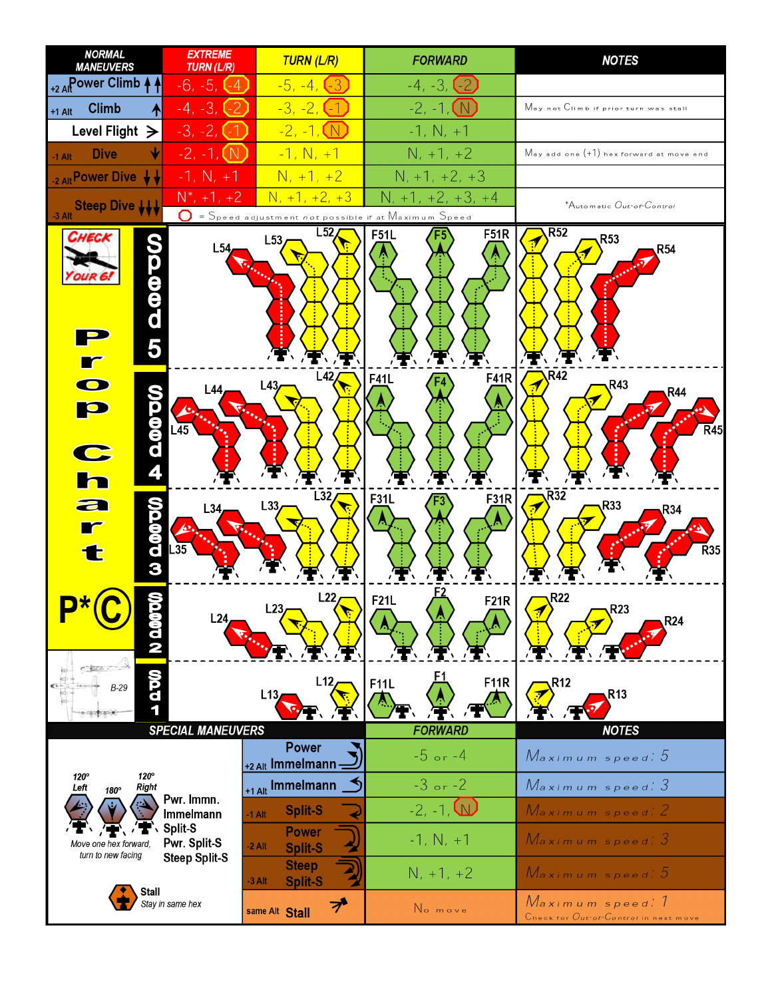